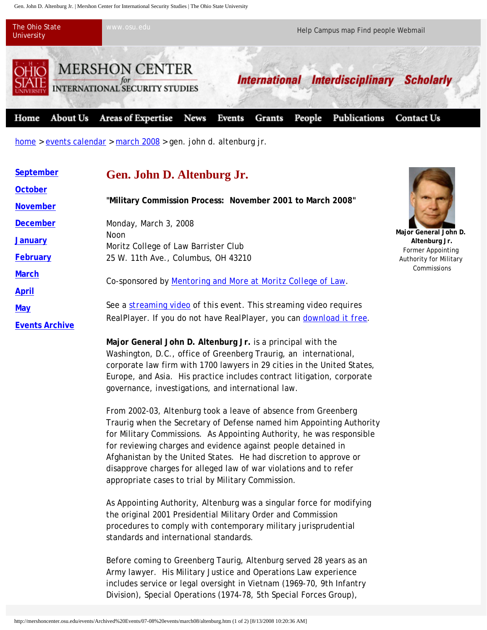Gen. John D. Altenburg Jr. | Mershon Center for International Security Studies | The Ohio State University



home > events calendar > march 2008 > gen. john d. altenburg jr.

| September             | Gen. John D. Altenburg Jr.                                                                                                                 |                                                                                       |
|-----------------------|--------------------------------------------------------------------------------------------------------------------------------------------|---------------------------------------------------------------------------------------|
| October               |                                                                                                                                            |                                                                                       |
| <b>November</b>       | "Military Commission Process: November 2001 to March 2008"                                                                                 |                                                                                       |
| <b>December</b>       | Monday, March 3, 2008                                                                                                                      | Major General John D.<br>Altenburg Jr.<br>Former Appointing<br>Authority for Military |
| <b>January</b>        | <b>Noon</b><br>Moritz College of Law Barrister Club                                                                                        |                                                                                       |
| February              | 25 W. 11th Ave., Columbus, OH 43210                                                                                                        |                                                                                       |
| <b>March</b>          | Co-sponsored by Mentoring and More at Moritz College of Law.                                                                               | Commissions                                                                           |
| <b>April</b>          |                                                                                                                                            |                                                                                       |
| <b>May</b>            | See a streaming video of this event. This streaming video requires<br>RealPlayer. If you do not have RealPlayer, you can download it free. |                                                                                       |
| <b>Events Archive</b> |                                                                                                                                            |                                                                                       |

**Major General John D. Altenburg Jr.** is a principal with the Washington, D.C., office of Greenberg Traurig, an international, corporate law firm with 1700 lawyers in 29 cities in the United States, Europe, and Asia. His practice includes contract litigation, corporate governance, investigations, and international law.

From 2002-03, Altenburg took a leave of absence from Greenberg Traurig when the Secretary of Defense named him Appointing Authority for Military Commissions. As Appointing Authority, he was responsible for reviewing charges and evidence against people detained in Afghanistan by the United States. He had discretion to approve or disapprove charges for alleged law of war violations and to refer appropriate cases to trial by Military Commission.

As Appointing Authority, Altenburg was a singular force for modifying the original 2001 Presidential Military Order and Commission procedures to comply with contemporary military jurisprudential standards and international standards.

Before coming to Greenberg Taurig, Altenburg served 28 years as an Army lawyer. His Military Justice and Operations Law experience includes service or legal oversight in Vietnam (1969-70, 9th Infantry Division), Special Operations (1974-78, 5th Special Forces Group),